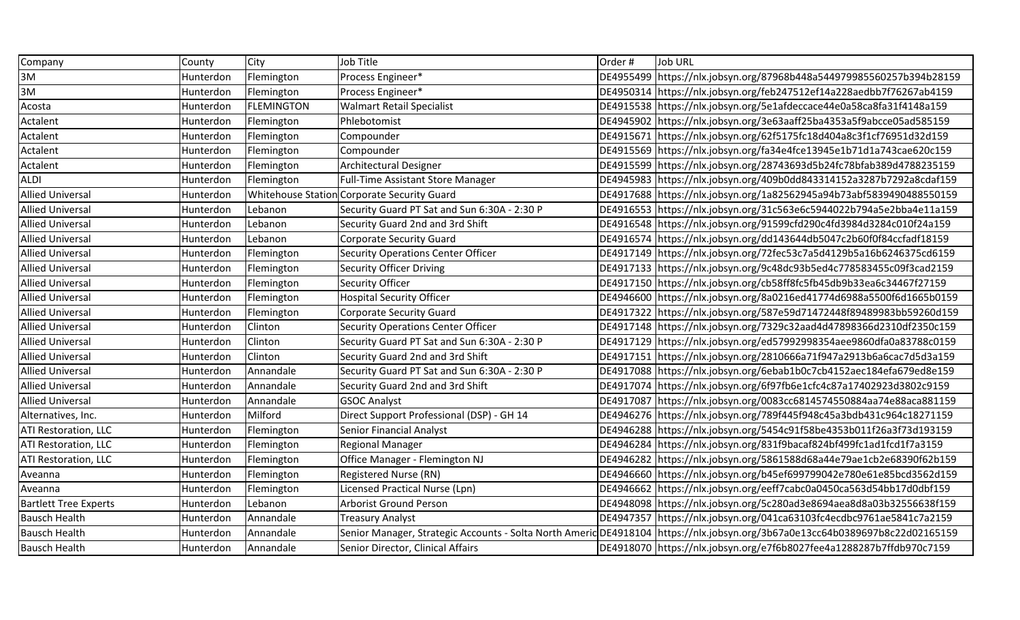| Company                      | County    | City                      | Job Title                                    | Order # | <b>Job URL</b>                                                                                                                |
|------------------------------|-----------|---------------------------|----------------------------------------------|---------|-------------------------------------------------------------------------------------------------------------------------------|
| 3M                           | Hunterdon | Flemington                | Process Engineer*                            |         |                                                                                                                               |
| 3M                           | Hunterdon | Flemington                | Process Engineer*                            |         | DE4950314 https://nlx.jobsyn.org/feb247512ef14a228aedbb7f76267ab4159                                                          |
| Acosta                       | Hunterdon | <b>FLEMINGTON</b>         | <b>Walmart Retail Specialist</b>             |         | DE4915538   https://nlx.jobsyn.org/5e1afdeccace44e0a58ca8fa31f4148a159                                                        |
| Actalent                     | Hunterdon | Flemington                | Phlebotomist                                 |         | DE4945902 https://nlx.jobsyn.org/3e63aaff25ba4353a5f9abcce05ad585159                                                          |
| Actalent                     | Hunterdon | Flemington                | Compounder                                   |         | DE4915671   https://nlx.jobsyn.org/62f5175fc18d404a8c3f1cf76951d32d159                                                        |
| Actalent                     | Hunterdon | Flemington                | Compounder                                   |         | DE4915569 https://nlx.jobsyn.org/fa34e4fce13945e1b71d1a743cae620c159                                                          |
| Actalent                     | Hunterdon | Flemington                | <b>Architectural Designer</b>                |         | DE4915599 https://nlx.jobsyn.org/28743693d5b24fc78bfab389d4788235159                                                          |
| <b>ALDI</b>                  | Hunterdon | Flemington                | <b>Full-Time Assistant Store Manager</b>     |         | DE4945983 https://nlx.jobsyn.org/409b0dd843314152a3287b7292a8cdaf159                                                          |
| <b>Allied Universal</b>      | Hunterdon | <b>Whitehouse Statior</b> | Corporate Security Guard                     |         | DE4917688   https://nlx.jobsyn.org/1a82562945a94b73abf5839490488550159                                                        |
| <b>Allied Universal</b>      | Hunterdon | Lebanon                   | Security Guard PT Sat and Sun 6:30A - 2:30 P |         | DE4916553 https://nlx.jobsyn.org/31c563e6c5944022b794a5e2bba4e11a159                                                          |
| <b>Allied Universal</b>      | Hunterdon | Lebanon                   | Security Guard 2nd and 3rd Shift             |         | DE4916548 https://nlx.jobsyn.org/91599cfd290c4fd3984d3284c010f24a159                                                          |
| <b>Allied Universal</b>      | Hunterdon | Lebanon                   | <b>Corporate Security Guard</b>              |         | DE4916574 https://nlx.jobsyn.org/dd143644db5047c2b60f0f84ccfadf18159                                                          |
| <b>Allied Universal</b>      | Hunterdon | Flemington                | <b>Security Operations Center Officer</b>    |         | DE4917149   https://nlx.jobsyn.org/72fec53c7a5d4129b5a16b6246375cd6159                                                        |
| <b>Allied Universal</b>      | Hunterdon | Flemington                | <b>Security Officer Driving</b>              |         | DE4917133 https://nlx.jobsyn.org/9c48dc93b5ed4c778583455c09f3cad2159                                                          |
| <b>Allied Universal</b>      | Hunterdon | Flemington                | Security Officer                             |         | DE4917150 https://nlx.jobsyn.org/cb58ff8fc5fb45db9b33ea6c34467f27159                                                          |
| <b>Allied Universal</b>      | Hunterdon | Flemington                | <b>Hospital Security Officer</b>             |         | DE4946600 https://nlx.jobsyn.org/8a0216ed41774d6988a5500f6d1665b0159                                                          |
| <b>Allied Universal</b>      | Hunterdon | Flemington                | <b>Corporate Security Guard</b>              |         | DE4917322   https://nlx.jobsyn.org/587e59d71472448f89489983bb59260d159                                                        |
| <b>Allied Universal</b>      | Hunterdon | Clinton                   | <b>Security Operations Center Officer</b>    |         | DE4917148 https://nlx.jobsyn.org/7329c32aad4d47898366d2310df2350c159                                                          |
| <b>Allied Universal</b>      | Hunterdon | Clinton                   | Security Guard PT Sat and Sun 6:30A - 2:30 P |         | DE4917129   https://nlx.jobsyn.org/ed57992998354aee9860dfa0a83788c0159                                                        |
| <b>Allied Universal</b>      | Hunterdon | Clinton                   | Security Guard 2nd and 3rd Shift             |         | DE4917151 https://nlx.jobsyn.org/2810666a71f947a2913b6a6cac7d5d3a159                                                          |
| <b>Allied Universal</b>      | Hunterdon | Annandale                 | Security Guard PT Sat and Sun 6:30A - 2:30 P |         | DE4917088 https://nlx.jobsyn.org/6ebab1b0c7cb4152aec184efa679ed8e159                                                          |
| <b>Allied Universal</b>      | Hunterdon | Annandale                 | Security Guard 2nd and 3rd Shift             |         | DE4917074 https://nlx.jobsyn.org/6f97fb6e1cfc4c87a17402923d3802c9159                                                          |
| <b>Allied Universal</b>      | Hunterdon | Annandale                 | <b>GSOC Analyst</b>                          |         | DE4917087 https://nlx.jobsyn.org/0083cc6814574550884aa74e88aca881159                                                          |
| Alternatives, Inc.           | Hunterdon | Milford                   | Direct Support Professional (DSP) - GH 14    |         | DE4946276   https://nlx.jobsyn.org/789f445f948c45a3bdb431c964c18271159                                                        |
| ATI Restoration, LLC         | Hunterdon | Flemington                | <b>Senior Financial Analyst</b>              |         | DE4946288   https://nlx.jobsyn.org/5454c91f58be4353b011f26a3f73d193159                                                        |
| <b>ATI Restoration, LLC</b>  | Hunterdon | Flemington                | <b>Regional Manager</b>                      |         | DE4946284 https://nlx.jobsyn.org/831f9bacaf824bf499fc1ad1fcd1f7a3159                                                          |
| <b>ATI Restoration, LLC</b>  | Hunterdon | Flemington                | Office Manager - Flemington NJ               |         | DE4946282 https://nlx.jobsyn.org/5861588d68a44e79ae1cb2e68390f62b159                                                          |
| Aveanna                      | Hunterdon | Flemington                | <b>Registered Nurse (RN)</b>                 |         | DE4946660 https://nlx.jobsyn.org/b45ef699799042e780e61e85bcd3562d159                                                          |
| Aveanna                      | Hunterdon | Flemington                | Licensed Practical Nurse (Lpn)               |         | DE4946662 https://nlx.jobsyn.org/eeff7cabc0a0450ca563d54bb17d0dbf159                                                          |
| <b>Bartlett Tree Experts</b> | Hunterdon | Lebanon                   | <b>Arborist Ground Person</b>                |         | DE4948098 https://nlx.jobsyn.org/5c280ad3e8694aea8d8a03b32556638f159                                                          |
| <b>Bausch Health</b>         | Hunterdon | Annandale                 | <b>Treasury Analyst</b>                      |         | DE4947357 https://nlx.jobsyn.org/041ca63103fc4ecdbc9761ae5841c7a2159                                                          |
| <b>Bausch Health</b>         | Hunterdon | Annandale                 |                                              |         | Senior Manager, Strategic Accounts - Solta North Americ DE4918104  https://nlx.jobsyn.org/3b67a0e13cc64b0389697b8c22d02165159 |
| <b>Bausch Health</b>         | Hunterdon | Annandale                 | Senior Director, Clinical Affairs            |         | DE4918070 https://nlx.jobsyn.org/e7f6b8027fee4a1288287b7ffdb970c7159                                                          |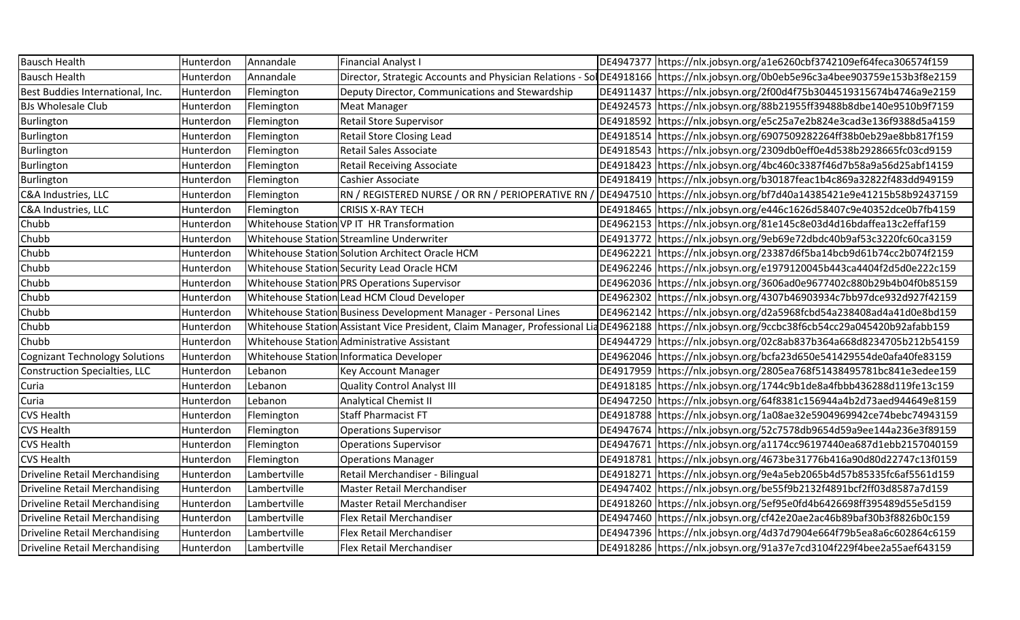| <b>Bausch Health</b>                  | Hunterdon | Annandale    | <b>Financial Analyst I</b>                                       | DE4947377 https://nlx.jobsyn.org/a1e6260cbf3742109ef64feca306574f159                                                                               |
|---------------------------------------|-----------|--------------|------------------------------------------------------------------|----------------------------------------------------------------------------------------------------------------------------------------------------|
| <b>Bausch Health</b>                  | Hunterdon | Annandale    |                                                                  | Director, Strategic Accounts and Physician Relations - SolDE4918166  https://nlx.jobsyn.org/0b0eb5e96c3a4bee903759e153b3f8e2159                    |
| Best Buddies International, Inc.      | Hunterdon | Flemington   | Deputy Director, Communications and Stewardship                  | DE4911437 https://nlx.jobsyn.org/2f00d4f75b3044519315674b4746a9e2159                                                                               |
| <b>BJs Wholesale Club</b>             | Hunterdon | Flemington   | Meat Manager                                                     | DE4924573 https://nlx.jobsyn.org/88b21955ff39488b8dbe140e9510b9f7159                                                                               |
| Burlington                            | Hunterdon | Flemington   | <b>Retail Store Supervisor</b>                                   | DE4918592 https://nlx.jobsyn.org/e5c25a7e2b824e3cad3e136f9388d5a4159                                                                               |
| Burlington                            | Hunterdon | Flemington   | <b>Retail Store Closing Lead</b>                                 | DE4918514   https://nlx.jobsyn.org/6907509282264ff38b0eb29ae8bb817f159                                                                             |
| Burlington                            | Hunterdon | Flemington   | Retail Sales Associate                                           | DE4918543 https://nlx.jobsyn.org/2309db0eff0e4d538b2928665fc03cd9159                                                                               |
| Burlington                            | Hunterdon | Flemington   | <b>Retail Receiving Associate</b>                                | DE4918423 https://nlx.jobsyn.org/4bc460c3387f46d7b58a9a56d25abf14159                                                                               |
| Burlington                            | Hunterdon | Flemington   | Cashier Associate                                                | DE4918419 https://nlx.jobsyn.org/b30187feac1b4c869a32822f483dd949159                                                                               |
| C&A Industries, LLC                   | Hunterdon | Flemington   | RN / REGISTERED NURSE / OR RN / PERIOPERATIVE RN /               | DE4947510 https://nlx.jobsyn.org/bf7d40a14385421e9e41215b58b92437159                                                                               |
| C&A Industries, LLC                   | Hunterdon | Flemington   | <b>CRISIS X-RAY TECH</b>                                         | DE4918465 https://nlx.jobsyn.org/e446c1626d58407c9e40352dce0b7fb4159                                                                               |
| Chubb                                 | Hunterdon |              | Whitehouse Station VP IT HR Transformation                       | DE4962153 https://nlx.jobsyn.org/81e145c8e03d4d16bdaffea13c2effaf159                                                                               |
| Chubb                                 | Hunterdon |              | Whitehouse Station Streamline Underwriter                        | DE4913772 https://nlx.jobsyn.org/9eb69e72dbdc40b9af53c3220fc60ca3159                                                                               |
| Chubb                                 | Hunterdon |              | Whitehouse Station Solution Architect Oracle HCM                 | DE4962221  https://nlx.jobsyn.org/23387d6f5ba14bcb9d61b74cc2b074f2159                                                                              |
| Chubb                                 | Hunterdon |              | Whitehouse Station Security Lead Oracle HCM                      | DE4962246  https://nlx.jobsyn.org/e1979120045b443ca4404f2d5d0e222c159                                                                              |
| Chubb                                 | Hunterdon |              | Whitehouse Station PRS Operations Supervisor                     | DE4962036 https://nlx.jobsyn.org/3606ad0e9677402c880b29b4b04f0b85159                                                                               |
| Chubb                                 | Hunterdon |              | Whitehouse Station Lead HCM Cloud Developer                      | DE4962302 https://nlx.jobsyn.org/4307b46903934c7bb97dce932d927f42159                                                                               |
| Chubb                                 | Hunterdon |              | Whitehouse Station Business Development Manager - Personal Lines | DE4962142 https://nlx.jobsyn.org/d2a5968fcbd54a238408ad4a41d0e8bd159                                                                               |
| Chubb                                 | Hunterdon |              |                                                                  | Whitehouse Station Assistant Vice President, Claim Manager, Professional Lia DE4962188  https://nlx.jobsyn.org/9ccbc38f6cb54cc29a045420b92afabb159 |
| Chubb                                 | Hunterdon |              | Whitehouse Station Administrative Assistant                      | DE4944729 https://nlx.jobsyn.org/02c8ab837b364a668d8234705b212b54159                                                                               |
| <b>Cognizant Technology Solutions</b> | Hunterdon |              | Whitehouse Station Informatica Developer                         | DE4962046   https://nlx.jobsyn.org/bcfa23d650e541429554de0afa40fe83159                                                                             |
| <b>Construction Specialties, LLC</b>  | Hunterdon | Lebanon      | Key Account Manager                                              | DE4917959   https://nlx.jobsyn.org/2805ea768f51438495781bc841e3edee159                                                                             |
| Curia                                 | Hunterdon | Lebanon      | <b>Quality Control Analyst III</b>                               | DE4918185 https://nlx.jobsyn.org/1744c9b1de8a4fbbb436288d119fe13c159                                                                               |
| Curia                                 | Hunterdon | Lebanon      | <b>Analytical Chemist II</b>                                     | DE4947250 https://nlx.jobsyn.org/64f8381c156944a4b2d73aed944649e8159                                                                               |
| <b>CVS Health</b>                     | Hunterdon | Flemington   | <b>Staff Pharmacist FT</b>                                       | DE4918788   https://nlx.jobsyn.org/1a08ae32e5904969942ce74bebc74943159                                                                             |
| <b>CVS Health</b>                     | Hunterdon | Flemington   | <b>Operations Supervisor</b>                                     | DE4947674 https://nlx.jobsyn.org/52c7578db9654d59a9ee144a236e3f89159                                                                               |
| <b>CVS Health</b>                     | Hunterdon | Flemington   | <b>Operations Supervisor</b>                                     | DE4947671   https://nlx.jobsyn.org/a1174cc96197440ea687d1ebb2157040159                                                                             |
| <b>CVS Health</b>                     | Hunterdon | Flemington   | <b>Operations Manager</b>                                        | DE4918781 https://nlx.jobsyn.org/4673be31776b416a90d80d22747c13f0159                                                                               |
| <b>Driveline Retail Merchandising</b> | Hunterdon | Lambertville | Retail Merchandiser - Bilingual                                  | DE4918271 https://nlx.jobsyn.org/9e4a5eb2065b4d57b85335fc6af5561d159                                                                               |
| <b>Driveline Retail Merchandising</b> | Hunterdon | Lambertville | Master Retail Merchandiser                                       | DE4947402 https://nlx.jobsyn.org/be55f9b2132f4891bcf2ff03d8587a7d159                                                                               |
| <b>Driveline Retail Merchandising</b> | Hunterdon | Lambertville | Master Retail Merchandiser                                       | DE4918260   https://nlx.jobsyn.org/5ef95e0fd4b6426698ff395489d55e5d159                                                                             |
| <b>Driveline Retail Merchandising</b> | Hunterdon | Lambertville | Flex Retail Merchandiser                                         | DE4947460 https://nlx.jobsyn.org/cf42e20ae2ac46b89baf30b3f8826b0c159                                                                               |
| <b>Driveline Retail Merchandising</b> | Hunterdon | Lambertville | Flex Retail Merchandiser                                         | DE4947396 https://nlx.jobsyn.org/4d37d7904e664f79b5ea8a6c602864c6159                                                                               |
| <b>Driveline Retail Merchandising</b> | Hunterdon | Lambertville | Flex Retail Merchandiser                                         | DE4918286 https://nlx.jobsyn.org/91a37e7cd3104f229f4bee2a55aef643159                                                                               |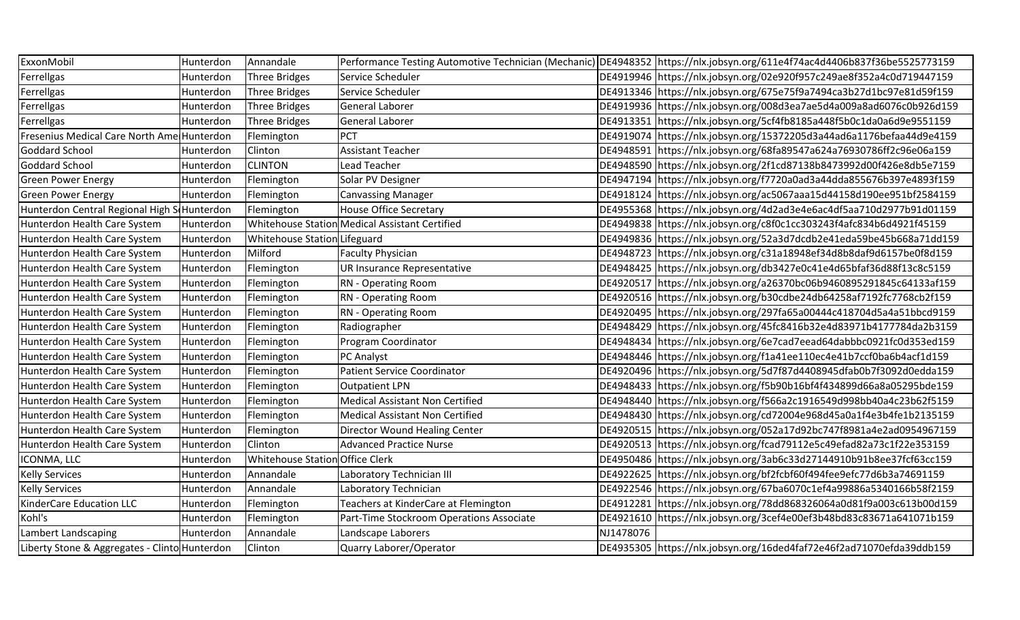| ExxonMobil                                    | Hunterdon | Annandale                       |                                                |           | Performance Testing Automotive Technician (Mechanic) DE4948352 https://nlx.jobsyn.org/611e4f74ac4d4406b837f36be5525773159 |
|-----------------------------------------------|-----------|---------------------------------|------------------------------------------------|-----------|---------------------------------------------------------------------------------------------------------------------------|
| Ferrellgas                                    | Hunterdon | <b>Three Bridges</b>            | Service Scheduler                              |           | DE4919946 https://nlx.jobsyn.org/02e920f957c249ae8f352a4c0d719447159                                                      |
| Ferrellgas                                    | Hunterdon | <b>Three Bridges</b>            | Service Scheduler                              |           | DE4913346 https://nlx.jobsyn.org/675e75f9a7494ca3b27d1bc97e81d59f159                                                      |
| Ferrellgas                                    | Hunterdon | <b>Three Bridges</b>            | <b>General Laborer</b>                         |           | DE4919936 https://nlx.jobsyn.org/008d3ea7ae5d4a009a8ad6076c0b926d159                                                      |
| Ferrellgas                                    | Hunterdon | <b>Three Bridges</b>            | <b>General Laborer</b>                         |           | DE4913351 https://nlx.jobsyn.org/5cf4fb8185a448f5b0c1da0a6d9e9551159                                                      |
| Fresenius Medical Care North Ame Hunterdon    |           | Flemington                      | <b>PCT</b>                                     |           | DE4919074   https://nlx.jobsyn.org/15372205d3a44ad6a1176befaa44d9e4159                                                    |
| <b>Goddard School</b>                         | Hunterdon | Clinton                         | <b>Assistant Teacher</b>                       |           | DE4948591 https://nlx.jobsyn.org/68fa89547a624a76930786ff2c96e06a159                                                      |
| <b>Goddard School</b>                         | Hunterdon | <b>CLINTON</b>                  | Lead Teacher                                   |           | DE4948590 https://nlx.jobsyn.org/2f1cd87138b8473992d00f426e8db5e7159                                                      |
| <b>Green Power Energy</b>                     | Hunterdon | Flemington                      | Solar PV Designer                              |           | DE4947194 https://nlx.jobsyn.org/f7720a0ad3a44dda855676b397e4893f159                                                      |
| <b>Green Power Energy</b>                     | Hunterdon | Flemington                      | <b>Canvassing Manager</b>                      |           | DE4918124 https://nlx.jobsyn.org/ac5067aaa15d44158d190ee951bf2584159                                                      |
| Hunterdon Central Regional High S Hunterdon   |           | Flemington                      | House Office Secretary                         |           | DE4955368 https://nlx.jobsyn.org/4d2ad3e4e6ac4df5aa710d2977b91d01159                                                      |
| Hunterdon Health Care System                  | Hunterdon |                                 | Whitehouse Station Medical Assistant Certified |           | DE4949838 https://nlx.jobsyn.org/c8f0c1cc303243f4afc834b6d4921f45159                                                      |
| Hunterdon Health Care System                  | Hunterdon | Whitehouse Station Lifeguard    |                                                |           | DE4949836 https://nlx.jobsyn.org/52a3d7dcdb2e41eda59be45b668a71dd159                                                      |
| Hunterdon Health Care System                  | Hunterdon | Milford                         | <b>Faculty Physician</b>                       |           | DE4948723 https://nlx.jobsyn.org/c31a18948ef34d8b8daf9d6157be0f8d159                                                      |
| Hunterdon Health Care System                  | Hunterdon | Flemington                      | UR Insurance Representative                    |           | DE4948425 https://nlx.jobsyn.org/db3427e0c41e4d65bfaf36d88f13c8c5159                                                      |
| Hunterdon Health Care System                  | Hunterdon | Flemington                      | RN - Operating Room                            |           | DE4920517 https://nlx.jobsyn.org/a26370bc06b9460895291845c64133af159                                                      |
| Hunterdon Health Care System                  | Hunterdon | Flemington                      | <b>RN</b> - Operating Room                     |           | DE4920516 https://nlx.jobsyn.org/b30cdbe24db64258af7192fc7768cb2f159                                                      |
| Hunterdon Health Care System                  | Hunterdon | Flemington                      | RN - Operating Room                            |           | DE4920495 https://nlx.jobsyn.org/297fa65a00444c418704d5a4a51bbcd9159                                                      |
| Hunterdon Health Care System                  | Hunterdon | Flemington                      | Radiographer                                   |           | DE4948429 https://nlx.jobsyn.org/45fc8416b32e4d83971b4177784da2b3159                                                      |
| Hunterdon Health Care System                  | Hunterdon | Flemington                      | Program Coordinator                            |           | DE4948434 https://nlx.jobsyn.org/6e7cad7eead64dabbbc0921fc0d353ed159                                                      |
| Hunterdon Health Care System                  | Hunterdon | Flemington                      | PC Analyst                                     |           | DE4948446 https://nlx.jobsyn.org/f1a41ee110ec4e41b7ccf0ba6b4acf1d159                                                      |
| Hunterdon Health Care System                  | Hunterdon | Flemington                      | <b>Patient Service Coordinator</b>             |           | DE4920496 https://nlx.jobsyn.org/5d7f87d4408945dfab0b7f3092d0edda159                                                      |
| Hunterdon Health Care System                  | Hunterdon | Flemington                      | <b>Outpatient LPN</b>                          |           | DE4948433 https://nlx.jobsyn.org/f5b90b16bf4f434899d66a8a05295bde159                                                      |
| Hunterdon Health Care System                  | Hunterdon | Flemington                      | <b>Medical Assistant Non Certified</b>         |           | DE4948440 https://nlx.jobsyn.org/f566a2c1916549d998bb40a4c23b62f5159                                                      |
| Hunterdon Health Care System                  | Hunterdon | Flemington                      | <b>Medical Assistant Non Certified</b>         |           | DE4948430 https://nlx.jobsyn.org/cd72004e968d45a0a1f4e3b4fe1b2135159                                                      |
| Hunterdon Health Care System                  | Hunterdon | Flemington                      | Director Wound Healing Center                  |           | DE4920515  https://nlx.jobsyn.org/052a17d92bc747f8981a4e2ad0954967159                                                     |
| Hunterdon Health Care System                  | Hunterdon | Clinton                         | <b>Advanced Practice Nurse</b>                 |           | DE4920513 https://nlx.jobsyn.org/fcad79112e5c49efad82a73c1f22e353159                                                      |
| ICONMA, LLC                                   | Hunterdon | Whitehouse Station Office Clerk |                                                |           | DE4950486 https://nlx.jobsyn.org/3ab6c33d27144910b91b8ee37fcf63cc159                                                      |
| <b>Kelly Services</b>                         | Hunterdon | Annandale                       | Laboratory Technician III                      |           | DE4922625 https://nlx.jobsyn.org/bf2fcbf60f494fee9efc77d6b3a74691159                                                      |
| <b>Kelly Services</b>                         | Hunterdon | Annandale                       | Laboratory Technician                          |           | DE4922546 https://nlx.jobsyn.org/67ba6070c1ef4a99886a5340166b58f2159                                                      |
| KinderCare Education LLC                      | Hunterdon | Flemington                      | Teachers at KinderCare at Flemington           |           | DE4912281 https://nlx.jobsyn.org/78dd868326064a0d81f9a003c613b00d159                                                      |
| Kohl's                                        | Hunterdon | Flemington                      | Part-Time Stockroom Operations Associate       |           | DE4921610   https://nlx.jobsyn.org/3cef4e00ef3b48bd83c83671a641071b159                                                    |
| Lambert Landscaping                           | Hunterdon | Annandale                       | Landscape Laborers                             | NJ1478076 |                                                                                                                           |
| Liberty Stone & Aggregates - Clinto Hunterdon |           | Clinton                         | Quarry Laborer/Operator                        |           | DE4935305 https://nlx.jobsyn.org/16ded4faf72e46f2ad71070efda39ddb159                                                      |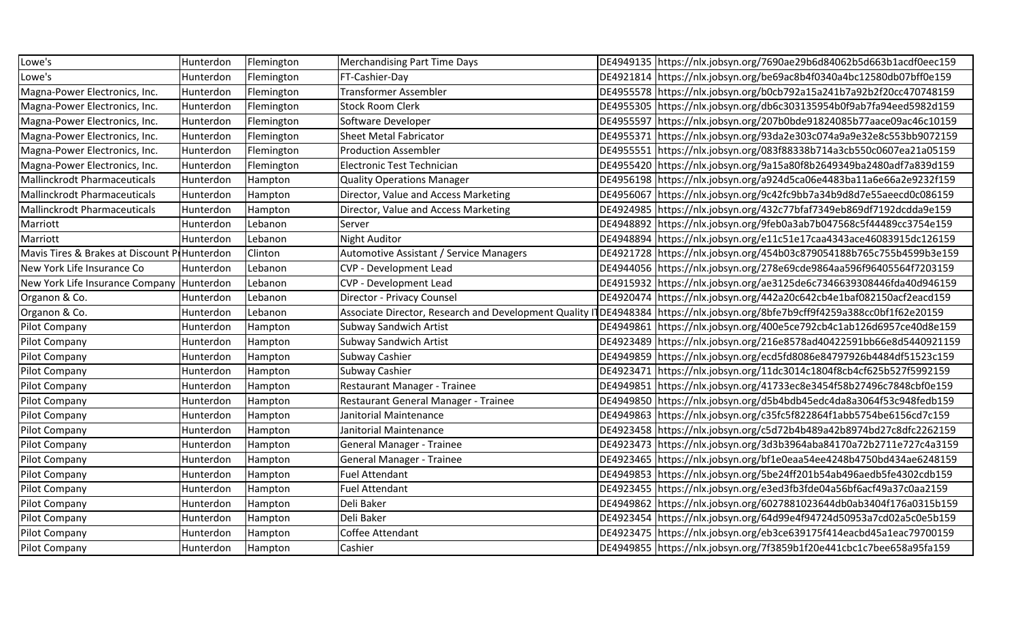| Lowe's                                       | Hunterdon | Flemington | <b>Merchandising Part Time Days</b>     |           | DE4949135 https://nlx.jobsyn.org/7690ae29b6d84062b5d663b1acdf0eec159                                                        |
|----------------------------------------------|-----------|------------|-----------------------------------------|-----------|-----------------------------------------------------------------------------------------------------------------------------|
| Lowe's                                       | Hunterdon | Flemington | FT-Cashier-Day                          |           | DE4921814 https://nlx.jobsyn.org/be69ac8b4f0340a4bc12580db07bff0e159                                                        |
| Magna-Power Electronics, Inc.                | Hunterdon | Flemington | <b>Transformer Assembler</b>            |           | DE4955578  https://nlx.jobsyn.org/b0cb792a15a241b7a92b2f20cc470748159                                                       |
| Magna-Power Electronics, Inc.                | Hunterdon | Flemington | <b>Stock Room Clerk</b>                 |           | DE4955305 https://nlx.jobsyn.org/db6c303135954b0f9ab7fa94eed5982d159                                                        |
| Magna-Power Electronics, Inc.                | Hunterdon | Flemington | Software Developer                      |           | DE4955597   https://nlx.jobsyn.org/207b0bde91824085b77aace09ac46c10159                                                      |
| Magna-Power Electronics, Inc.                | Hunterdon | Flemington | <b>Sheet Metal Fabricator</b>           |           | DE4955371 https://nlx.jobsyn.org/93da2e303c074a9a9e32e8c553bb9072159                                                        |
| Magna-Power Electronics, Inc.                | Hunterdon | Flemington | <b>Production Assembler</b>             | DE4955551 | https://nlx.jobsyn.org/083f88338b714a3cb550c0607ea21a05159                                                                  |
| Magna-Power Electronics, Inc.                | Hunterdon | Flemington | Electronic Test Technician              |           | DE4955420 https://nlx.jobsyn.org/9a15a80f8b2649349ba2480adf7a839d159                                                        |
| <b>Mallinckrodt Pharmaceuticals</b>          | Hunterdon | Hampton    | <b>Quality Operations Manager</b>       |           | DE4956198 https://nlx.jobsyn.org/a924d5ca06e4483ba11a6e66a2e9232f159                                                        |
| <b>Mallinckrodt Pharmaceuticals</b>          | Hunterdon | Hampton    | Director, Value and Access Marketing    |           | DE4956067 https://nlx.jobsyn.org/9c42fc9bb7a34b9d8d7e55aeecd0c086159                                                        |
| <b>Mallinckrodt Pharmaceuticals</b>          | Hunterdon | Hampton    | Director, Value and Access Marketing    |           | DE4924985   https://nlx.jobsyn.org/432c77bfaf7349eb869df7192dcdda9e159                                                      |
| Marriott                                     | Hunterdon | Lebanon    | Server                                  |           | DE4948892 https://nlx.jobsyn.org/9feb0a3ab7b047568c5f44489cc3754e159                                                        |
| Marriott                                     | Hunterdon | Lebanon    | <b>Night Auditor</b>                    |           | DE4948894 https://nlx.jobsyn.org/e11c51e17caa4343ace46083915dc126159                                                        |
| Mavis Tires & Brakes at Discount P Hunterdon |           | Clinton    | Automotive Assistant / Service Managers |           | DE4921728 https://nlx.jobsyn.org/454b03c879054188b765c755b4599b3e159                                                        |
| New York Life Insurance Co                   | Hunterdon | Lebanon    | CVP - Development Lead                  |           | DE4944056   https://nlx.jobsyn.org/278e69cde9864aa596f96405564f7203159                                                      |
| New York Life Insurance Company              | Hunterdon | Lebanon    | <b>CVP - Development Lead</b>           |           | DE4915932 https://nlx.jobsyn.org/ae3125de6c7346639308446fda40d946159                                                        |
| Organon & Co.                                | Hunterdon | Lebanon    | Director - Privacy Counsel              |           | DE4920474 https://nlx.jobsyn.org/442a20c642cb4e1baf082150acf2eacd159                                                        |
| Organon & Co.                                | Hunterdon | Lebanon    |                                         |           | Associate Director, Research and Development Quality ITDE4948384 https://nlx.jobsyn.org/8bfe7b9cff9f4259a388cc0bf1f62e20159 |
| Pilot Company                                | Hunterdon | Hampton    | <b>Subway Sandwich Artist</b>           | DE4949861 | https://nlx.jobsyn.org/400e5ce792cb4c1ab126d6957ce40d8e159                                                                  |
| Pilot Company                                | Hunterdon | Hampton    | Subway Sandwich Artist                  |           | DE4923489 https://nlx.jobsyn.org/216e8578ad40422591bb66e8d5440921159                                                        |
| Pilot Company                                | Hunterdon | Hampton    | Subway Cashier                          |           | DE4949859   https://nlx.jobsyn.org/ecd5fd8086e84797926b4484df51523c159                                                      |
| Pilot Company                                | Hunterdon | Hampton    | Subway Cashier                          | DE4923471 | https://nlx.jobsyn.org/11dc3014c1804f8cb4cf625b527f5992159                                                                  |
| Pilot Company                                | Hunterdon | Hampton    | Restaurant Manager - Trainee            | DE4949851 | https://nlx.jobsyn.org/41733ec8e3454f58b27496c7848cbf0e159                                                                  |
| Pilot Company                                | Hunterdon | Hampton    | Restaurant General Manager - Trainee    |           | DE4949850 https://nlx.jobsyn.org/d5b4bdb45edc4da8a3064f53c948fedb159                                                        |
| Pilot Company                                | Hunterdon | Hampton    | Janitorial Maintenance                  |           | DE4949863 https://nlx.jobsyn.org/c35fc5f822864f1abb5754be6156cd7c159                                                        |
| Pilot Company                                | Hunterdon | Hampton    | Janitorial Maintenance                  |           | DE4923458   https://nlx.jobsyn.org/c5d72b4b489a42b8974bd27c8dfc2262159                                                      |
| Pilot Company                                | Hunterdon | Hampton    | <b>General Manager - Trainee</b>        | DE4923473 | https://nlx.jobsyn.org/3d3b3964aba84170a72b2711e727c4a3159                                                                  |
| <b>Pilot Company</b>                         | Hunterdon | Hampton    | <b>General Manager - Trainee</b>        |           | DE4923465  https://nlx.jobsyn.org/bf1e0eaa54ee4248b4750bd434ae6248159                                                       |
| Pilot Company                                | Hunterdon | Hampton    | <b>Fuel Attendant</b>                   |           | DE4949853 https://nlx.jobsyn.org/5be24ff201b54ab496aedb5fe4302cdb159                                                        |
| Pilot Company                                | Hunterdon | Hampton    | <b>Fuel Attendant</b>                   |           | DE4923455 https://nlx.jobsyn.org/e3ed3fb3fde04a56bf6acf49a37c0aa2159                                                        |
| Pilot Company                                | Hunterdon | Hampton    | Deli Baker                              |           | DE4949862 https://nlx.jobsyn.org/6027881023644db0ab3404f176a0315b159                                                        |
| Pilot Company                                | Hunterdon | Hampton    | Deli Baker                              |           | DE4923454 https://nlx.jobsyn.org/64d99e4f94724d50953a7cd02a5c0e5b159                                                        |
| Pilot Company                                | Hunterdon | Hampton    | Coffee Attendant                        |           | DE4923475 https://nlx.jobsyn.org/eb3ce639175f414eacbd45a1eac79700159                                                        |
| Pilot Company                                | Hunterdon | Hampton    | Cashier                                 |           | DE4949855 https://nlx.jobsyn.org/7f3859b1f20e441cbc1c7bee658a95fa159                                                        |